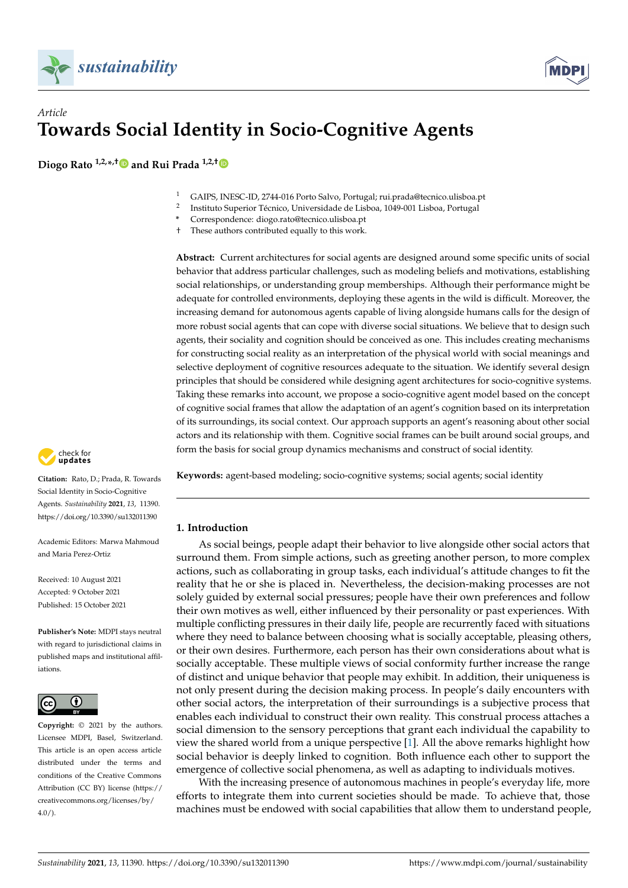



# *Article* **Towards Social Identity in Socio-Cognitive Agents**

**Diogo Rato 1,2,\* ,[†](https://orcid.org/0000-0003-3113-0062) and Rui Prada 1,2,†**

- <sup>1</sup> GAIPS, INESC-ID, 2744-016 Porto Salvo, Portugal; rui.prada@tecnico.ulisboa.pt
- 2 Instituto Superior Técnico, Universidade de Lisboa, 1049-001 Lisboa, Portugal
- **\*** Correspondence: diogo.rato@tecnico.ulisboa.pt
- † These authors contributed equally to this work.

**Abstract:** Current architectures for social agents are designed around some specific units of social behavior that address particular challenges, such as modeling beliefs and motivations, establishing social relationships, or understanding group memberships. Although their performance might be adequate for controlled environments, deploying these agents in the wild is difficult. Moreover, the increasing demand for autonomous agents capable of living alongside humans calls for the design of more robust social agents that can cope with diverse social situations. We believe that to design such agents, their sociality and cognition should be conceived as one. This includes creating mechanisms for constructing social reality as an interpretation of the physical world with social meanings and selective deployment of cognitive resources adequate to the situation. We identify several design principles that should be considered while designing agent architectures for socio-cognitive systems. Taking these remarks into account, we propose a socio-cognitive agent model based on the concept of cognitive social frames that allow the adaptation of an agent's cognition based on its interpretation of its surroundings, its social context. Our approach supports an agent's reasoning about other social actors and its relationship with them. Cognitive social frames can be built around social groups, and form the basis for social group dynamics mechanisms and construct of social identity.



**Citation:** Rato, D.; Prada, R. Towards Social Identity in Socio-Cognitive Agents. *Sustainability* **2021**, *13*, 11390. <https://doi.org/10.3390/su132011390>

Academic Editors: Marwa Mahmoud and Maria Perez-Ortiz

Received: 10 August 2021 Accepted: 9 October 2021 Published: 15 October 2021

**Publisher's Note:** MDPI stays neutral with regard to jurisdictional claims in published maps and institutional affiliations.



**Copyright:** © 2021 by the authors. Licensee MDPI, Basel, Switzerland. This article is an open access article distributed under the terms and conditions of the Creative Commons Attribution (CC BY) license (https:/[/](https://creativecommons.org/licenses/by/4.0/) [creativecommons.org/licenses/by/](https://creativecommons.org/licenses/by/4.0/) 4.0/).

**Keywords:** agent-based modeling; socio-cognitive systems; social agents; social identity

# **1. Introduction**

As social beings, people adapt their behavior to live alongside other social actors that surround them. From simple actions, such as greeting another person, to more complex actions, such as collaborating in group tasks, each individual's attitude changes to fit the reality that he or she is placed in. Nevertheless, the decision-making processes are not solely guided by external social pressures; people have their own preferences and follow their own motives as well, either influenced by their personality or past experiences. With multiple conflicting pressures in their daily life, people are recurrently faced with situations where they need to balance between choosing what is socially acceptable, pleasing others, or their own desires. Furthermore, each person has their own considerations about what is socially acceptable. These multiple views of social conformity further increase the range of distinct and unique behavior that people may exhibit. In addition, their uniqueness is not only present during the decision making process. In people's daily encounters with other social actors, the interpretation of their surroundings is a subjective process that enables each individual to construct their own reality. This construal process attaches a social dimension to the sensory perceptions that grant each individual the capability to view the shared world from a unique perspective [\[1\]](#page-16-0). All the above remarks highlight how social behavior is deeply linked to cognition. Both influence each other to support the emergence of collective social phenomena, as well as adapting to individuals motives.

With the increasing presence of autonomous machines in people's everyday life, more efforts to integrate them into current societies should be made. To achieve that, those machines must be endowed with social capabilities that allow them to understand people,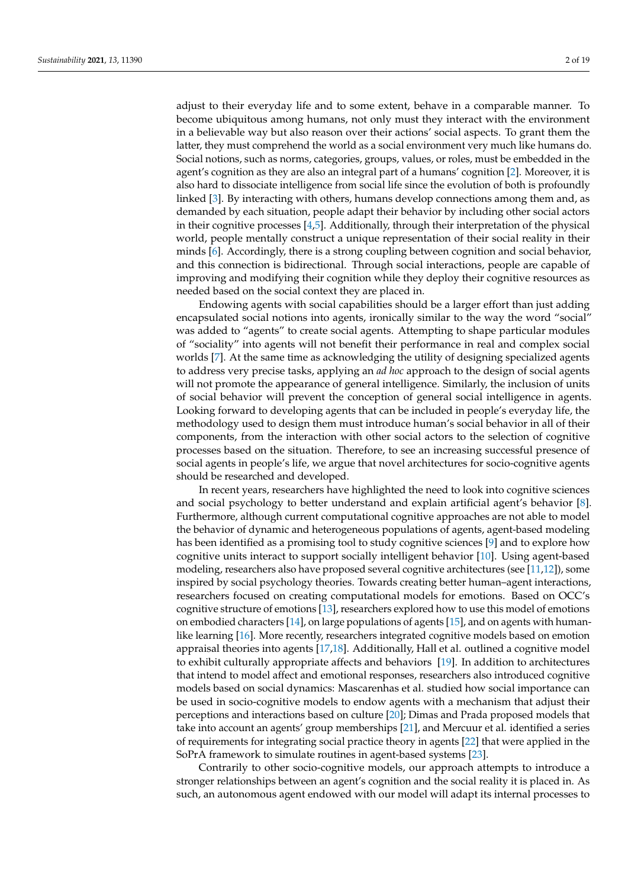become ubiquitous among humans, not only must they interact with the environment in a believable way but also reason over their actions' social aspects. To grant them the latter, they must comprehend the world as a social environment very much like humans do. Social notions, such as norms, categories, groups, values, or roles, must be embedded in the agent's cognition as they are also an integral part of a humans' cognition [\[2\]](#page-16-1). Moreover, it is also hard to dissociate intelligence from social life since the evolution of both is profoundly linked [\[3\]](#page-16-2). By interacting with others, humans develop connections among them and, as demanded by each situation, people adapt their behavior by including other social actors in their cognitive processes [\[4,](#page-16-3)[5\]](#page-17-0). Additionally, through their interpretation of the physical world, people mentally construct a unique representation of their social reality in their minds [\[6\]](#page-17-1). Accordingly, there is a strong coupling between cognition and social behavior, and this connection is bidirectional. Through social interactions, people are capable of improving and modifying their cognition while they deploy their cognitive resources as needed based on the social context they are placed in.

Endowing agents with social capabilities should be a larger effort than just adding encapsulated social notions into agents, ironically similar to the way the word "social" was added to "agents" to create social agents. Attempting to shape particular modules of "sociality" into agents will not benefit their performance in real and complex social worlds [\[7\]](#page-17-2). At the same time as acknowledging the utility of designing specialized agents to address very precise tasks, applying an *ad hoc* approach to the design of social agents will not promote the appearance of general intelligence. Similarly, the inclusion of units of social behavior will prevent the conception of general social intelligence in agents. Looking forward to developing agents that can be included in people's everyday life, the methodology used to design them must introduce human's social behavior in all of their components, from the interaction with other social actors to the selection of cognitive processes based on the situation. Therefore, to see an increasing successful presence of social agents in people's life, we argue that novel architectures for socio-cognitive agents should be researched and developed.

In recent years, researchers have highlighted the need to look into cognitive sciences and social psychology to better understand and explain artificial agent's behavior [\[8\]](#page-17-3). Furthermore, although current computational cognitive approaches are not able to model the behavior of dynamic and heterogeneous populations of agents, agent-based modeling has been identified as a promising tool to study cognitive sciences [\[9\]](#page-17-4) and to explore how cognitive units interact to support socially intelligent behavior [\[10\]](#page-17-5). Using agent-based modeling, researchers also have proposed several cognitive architectures (see [\[11](#page-17-6)[,12\]](#page-17-7)), some inspired by social psychology theories. Towards creating better human–agent interactions, researchers focused on creating computational models for emotions. Based on OCC's cognitive structure of emotions [\[13\]](#page-17-8), researchers explored how to use this model of emotions on embodied characters  $[14]$ , on large populations of agents  $[15]$ , and on agents with humanlike learning [\[16\]](#page-17-11). More recently, researchers integrated cognitive models based on emotion appraisal theories into agents [\[17](#page-17-12)[,18\]](#page-17-13). Additionally, Hall et al. outlined a cognitive model to exhibit culturally appropriate affects and behaviors [\[19\]](#page-17-14). In addition to architectures that intend to model affect and emotional responses, researchers also introduced cognitive models based on social dynamics: Mascarenhas et al. studied how social importance can be used in socio-cognitive models to endow agents with a mechanism that adjust their perceptions and interactions based on culture [\[20\]](#page-17-15); Dimas and Prada proposed models that take into account an agents' group memberships [\[21\]](#page-17-16), and Mercuur et al. identified a series of requirements for integrating social practice theory in agents [\[22\]](#page-17-17) that were applied in the SoPrA framework to simulate routines in agent-based systems [\[23\]](#page-17-18).

Contrarily to other socio-cognitive models, our approach attempts to introduce a stronger relationships between an agent's cognition and the social reality it is placed in. As such, an autonomous agent endowed with our model will adapt its internal processes to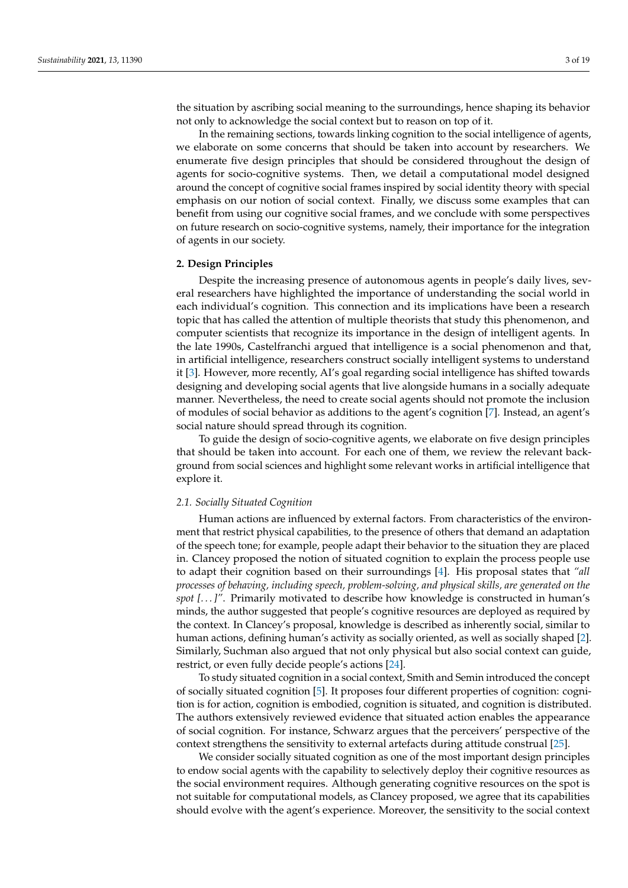the situation by ascribing social meaning to the surroundings, hence shaping its behavior not only to acknowledge the social context but to reason on top of it.

In the remaining sections, towards linking cognition to the social intelligence of agents, we elaborate on some concerns that should be taken into account by researchers. We enumerate five design principles that should be considered throughout the design of agents for socio-cognitive systems. Then, we detail a computational model designed around the concept of cognitive social frames inspired by social identity theory with special emphasis on our notion of social context. Finally, we discuss some examples that can benefit from using our cognitive social frames, and we conclude with some perspectives on future research on socio-cognitive systems, namely, their importance for the integration of agents in our society.

### <span id="page-2-0"></span>**2. Design Principles**

Despite the increasing presence of autonomous agents in people's daily lives, several researchers have highlighted the importance of understanding the social world in each individual's cognition. This connection and its implications have been a research topic that has called the attention of multiple theorists that study this phenomenon, and computer scientists that recognize its importance in the design of intelligent agents. In the late 1990s, Castelfranchi argued that intelligence is a social phenomenon and that, in artificial intelligence, researchers construct socially intelligent systems to understand it [\[3\]](#page-16-2). However, more recently, AI's goal regarding social intelligence has shifted towards designing and developing social agents that live alongside humans in a socially adequate manner. Nevertheless, the need to create social agents should not promote the inclusion of modules of social behavior as additions to the agent's cognition [\[7\]](#page-17-2). Instead, an agent's social nature should spread through its cognition.

To guide the design of socio-cognitive agents, we elaborate on five design principles that should be taken into account. For each one of them, we review the relevant background from social sciences and highlight some relevant works in artificial intelligence that explore it.

# <span id="page-2-1"></span>*2.1. Socially Situated Cognition*

Human actions are influenced by external factors. From characteristics of the environment that restrict physical capabilities, to the presence of others that demand an adaptation of the speech tone; for example, people adapt their behavior to the situation they are placed in. Clancey proposed the notion of situated cognition to explain the process people use to adapt their cognition based on their surroundings [\[4\]](#page-16-3). His proposal states that *"all processes of behaving, including speech, problem-solving, and physical skills, are generated on the spot [. . . ]"*. Primarily motivated to describe how knowledge is constructed in human's minds, the author suggested that people's cognitive resources are deployed as required by the context. In Clancey's proposal, knowledge is described as inherently social, similar to human actions, defining human's activity as socially oriented, as well as socially shaped [\[2\]](#page-16-1). Similarly, Suchman also argued that not only physical but also social context can guide, restrict, or even fully decide people's actions [\[24\]](#page-17-19).

To study situated cognition in a social context, Smith and Semin introduced the concept of socially situated cognition [\[5\]](#page-17-0). It proposes four different properties of cognition: cognition is for action, cognition is embodied, cognition is situated, and cognition is distributed. The authors extensively reviewed evidence that situated action enables the appearance of social cognition. For instance, Schwarz argues that the perceivers' perspective of the context strengthens the sensitivity to external artefacts during attitude construal [\[25\]](#page-17-20).

We consider socially situated cognition as one of the most important design principles to endow social agents with the capability to selectively deploy their cognitive resources as the social environment requires. Although generating cognitive resources on the spot is not suitable for computational models, as Clancey proposed, we agree that its capabilities should evolve with the agent's experience. Moreover, the sensitivity to the social context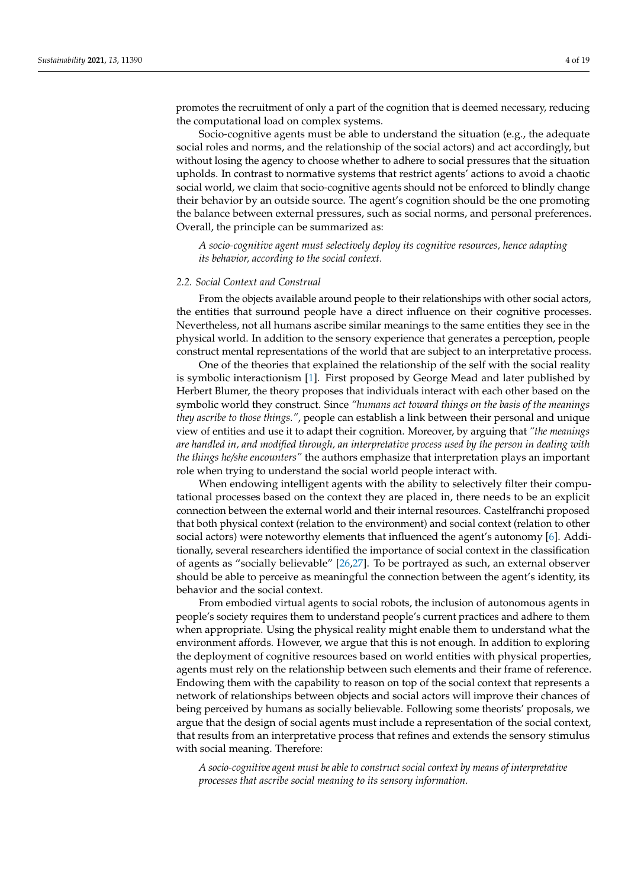promotes the recruitment of only a part of the cognition that is deemed necessary, reducing the computational load on complex systems.

Socio-cognitive agents must be able to understand the situation (e.g., the adequate social roles and norms, and the relationship of the social actors) and act accordingly, but without losing the agency to choose whether to adhere to social pressures that the situation upholds. In contrast to normative systems that restrict agents' actions to avoid a chaotic social world, we claim that socio-cognitive agents should not be enforced to blindly change their behavior by an outside source. The agent's cognition should be the one promoting the balance between external pressures, such as social norms, and personal preferences. Overall, the principle can be summarized as:

*A socio-cognitive agent must selectively deploy its cognitive resources, hence adapting its behavior, according to the social context.*

# <span id="page-3-0"></span>*2.2. Social Context and Construal*

From the objects available around people to their relationships with other social actors, the entities that surround people have a direct influence on their cognitive processes. Nevertheless, not all humans ascribe similar meanings to the same entities they see in the physical world. In addition to the sensory experience that generates a perception, people construct mental representations of the world that are subject to an interpretative process.

One of the theories that explained the relationship of the self with the social reality is symbolic interactionism [\[1\]](#page-16-0). First proposed by George Mead and later published by Herbert Blumer, the theory proposes that individuals interact with each other based on the symbolic world they construct. Since *"humans act toward things on the basis of the meanings they ascribe to those things."*, people can establish a link between their personal and unique view of entities and use it to adapt their cognition. Moreover, by arguing that *"the meanings are handled in, and modified through, an interpretative process used by the person in dealing with the things he/she encounters"* the authors emphasize that interpretation plays an important role when trying to understand the social world people interact with.

When endowing intelligent agents with the ability to selectively filter their computational processes based on the context they are placed in, there needs to be an explicit connection between the external world and their internal resources. Castelfranchi proposed that both physical context (relation to the environment) and social context (relation to other social actors) were noteworthy elements that influenced the agent's autonomy [\[6\]](#page-17-1). Additionally, several researchers identified the importance of social context in the classification of agents as "socially believable" [\[26](#page-17-21)[,27\]](#page-17-22). To be portrayed as such, an external observer should be able to perceive as meaningful the connection between the agent's identity, its behavior and the social context.

From embodied virtual agents to social robots, the inclusion of autonomous agents in people's society requires them to understand people's current practices and adhere to them when appropriate. Using the physical reality might enable them to understand what the environment affords. However, we argue that this is not enough. In addition to exploring the deployment of cognitive resources based on world entities with physical properties, agents must rely on the relationship between such elements and their frame of reference. Endowing them with the capability to reason on top of the social context that represents a network of relationships between objects and social actors will improve their chances of being perceived by humans as socially believable. Following some theorists' proposals, we argue that the design of social agents must include a representation of the social context, that results from an interpretative process that refines and extends the sensory stimulus with social meaning. Therefore:

*A socio-cognitive agent must be able to construct social context by means of interpretative processes that ascribe social meaning to its sensory information.*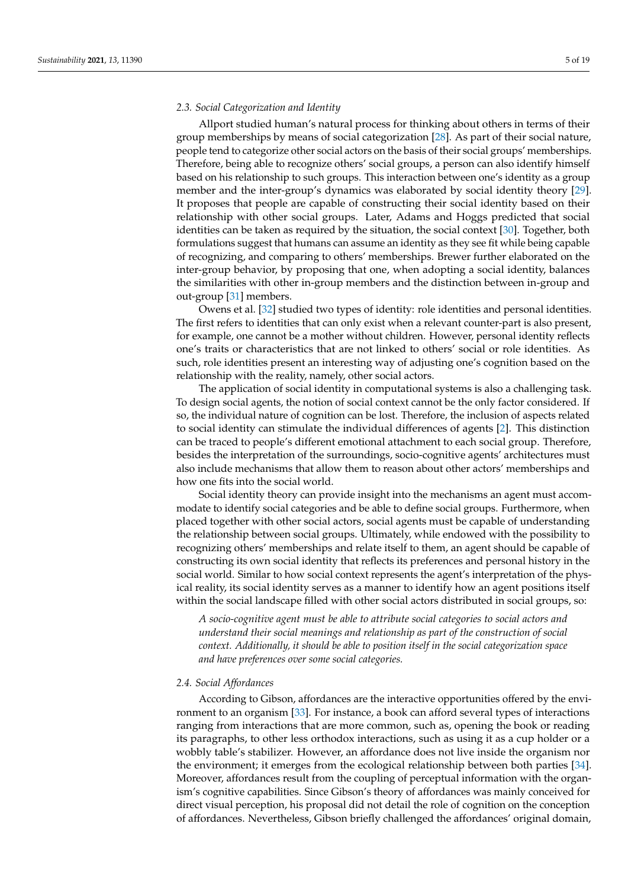### <span id="page-4-1"></span>*2.3. Social Categorization and Identity*

Allport studied human's natural process for thinking about others in terms of their group memberships by means of social categorization [\[28\]](#page-17-23). As part of their social nature, people tend to categorize other social actors on the basis of their social groups' memberships. Therefore, being able to recognize others' social groups, a person can also identify himself based on his relationship to such groups. This interaction between one's identity as a group member and the inter-group's dynamics was elaborated by social identity theory [\[29\]](#page-17-24). It proposes that people are capable of constructing their social identity based on their relationship with other social groups. Later, Adams and Hoggs predicted that social identities can be taken as required by the situation, the social context [\[30\]](#page-17-25). Together, both formulations suggest that humans can assume an identity as they see fit while being capable of recognizing, and comparing to others' memberships. Brewer further elaborated on the inter-group behavior, by proposing that one, when adopting a social identity, balances the similarities with other in-group members and the distinction between in-group and out-group [\[31\]](#page-17-26) members.

Owens et al. [\[32\]](#page-17-27) studied two types of identity: role identities and personal identities. The first refers to identities that can only exist when a relevant counter-part is also present, for example, one cannot be a mother without children. However, personal identity reflects one's traits or characteristics that are not linked to others' social or role identities. As such, role identities present an interesting way of adjusting one's cognition based on the relationship with the reality, namely, other social actors.

The application of social identity in computational systems is also a challenging task. To design social agents, the notion of social context cannot be the only factor considered. If so, the individual nature of cognition can be lost. Therefore, the inclusion of aspects related to social identity can stimulate the individual differences of agents [\[2\]](#page-16-1). This distinction can be traced to people's different emotional attachment to each social group. Therefore, besides the interpretation of the surroundings, socio-cognitive agents' architectures must also include mechanisms that allow them to reason about other actors' memberships and how one fits into the social world.

Social identity theory can provide insight into the mechanisms an agent must accommodate to identify social categories and be able to define social groups. Furthermore, when placed together with other social actors, social agents must be capable of understanding the relationship between social groups. Ultimately, while endowed with the possibility to recognizing others' memberships and relate itself to them, an agent should be capable of constructing its own social identity that reflects its preferences and personal history in the social world. Similar to how social context represents the agent's interpretation of the physical reality, its social identity serves as a manner to identify how an agent positions itself within the social landscape filled with other social actors distributed in social groups, so:

*A socio-cognitive agent must be able to attribute social categories to social actors and understand their social meanings and relationship as part of the construction of social context. Additionally, it should be able to position itself in the social categorization space and have preferences over some social categories.*

### <span id="page-4-0"></span>*2.4. Social Affordances*

According to Gibson, affordances are the interactive opportunities offered by the environment to an organism [\[33\]](#page-17-28). For instance, a book can afford several types of interactions ranging from interactions that are more common, such as, opening the book or reading its paragraphs, to other less orthodox interactions, such as using it as a cup holder or a wobbly table's stabilizer. However, an affordance does not live inside the organism nor the environment; it emerges from the ecological relationship between both parties [\[34\]](#page-17-29). Moreover, affordances result from the coupling of perceptual information with the organism's cognitive capabilities. Since Gibson's theory of affordances was mainly conceived for direct visual perception, his proposal did not detail the role of cognition on the conception of affordances. Nevertheless, Gibson briefly challenged the affordances' original domain,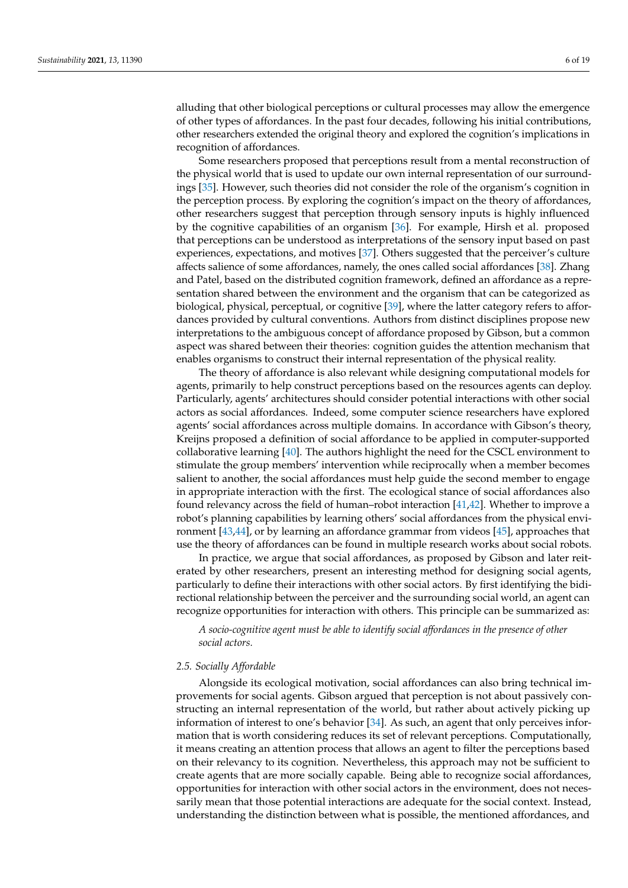alluding that other biological perceptions or cultural processes may allow the emergence of other types of affordances. In the past four decades, following his initial contributions, other researchers extended the original theory and explored the cognition's implications in recognition of affordances.

Some researchers proposed that perceptions result from a mental reconstruction of the physical world that is used to update our own internal representation of our surroundings [\[35\]](#page-17-30). However, such theories did not consider the role of the organism's cognition in the perception process. By exploring the cognition's impact on the theory of affordances, other researchers suggest that perception through sensory inputs is highly influenced by the cognitive capabilities of an organism [\[36\]](#page-17-31). For example, Hirsh et al. proposed that perceptions can be understood as interpretations of the sensory input based on past experiences, expectations, and motives [\[37\]](#page-17-32). Others suggested that the perceiver's culture affects salience of some affordances, namely, the ones called social affordances [\[38\]](#page-18-0). Zhang and Patel, based on the distributed cognition framework, defined an affordance as a representation shared between the environment and the organism that can be categorized as biological, physical, perceptual, or cognitive [\[39\]](#page-18-1), where the latter category refers to affordances provided by cultural conventions. Authors from distinct disciplines propose new interpretations to the ambiguous concept of affordance proposed by Gibson, but a common aspect was shared between their theories: cognition guides the attention mechanism that enables organisms to construct their internal representation of the physical reality.

The theory of affordance is also relevant while designing computational models for agents, primarily to help construct perceptions based on the resources agents can deploy. Particularly, agents' architectures should consider potential interactions with other social actors as social affordances. Indeed, some computer science researchers have explored agents' social affordances across multiple domains. In accordance with Gibson's theory, Kreijns proposed a definition of social affordance to be applied in computer-supported collaborative learning [\[40\]](#page-18-2). The authors highlight the need for the CSCL environment to stimulate the group members' intervention while reciprocally when a member becomes salient to another, the social affordances must help guide the second member to engage in appropriate interaction with the first. The ecological stance of social affordances also found relevancy across the field of human–robot interaction [\[41,](#page-18-3)[42\]](#page-18-4). Whether to improve a robot's planning capabilities by learning others' social affordances from the physical environment [\[43,](#page-18-5)[44\]](#page-18-6), or by learning an affordance grammar from videos [\[45\]](#page-18-7), approaches that use the theory of affordances can be found in multiple research works about social robots.

In practice, we argue that social affordances, as proposed by Gibson and later reiterated by other researchers, present an interesting method for designing social agents, particularly to define their interactions with other social actors. By first identifying the bidirectional relationship between the perceiver and the surrounding social world, an agent can recognize opportunities for interaction with others. This principle can be summarized as:

*A socio-cognitive agent must be able to identify social affordances in the presence of other social actors.*

### <span id="page-5-0"></span>*2.5. Socially Affordable*

Alongside its ecological motivation, social affordances can also bring technical improvements for social agents. Gibson argued that perception is not about passively constructing an internal representation of the world, but rather about actively picking up information of interest to one's behavior [\[34\]](#page-17-29). As such, an agent that only perceives information that is worth considering reduces its set of relevant perceptions. Computationally, it means creating an attention process that allows an agent to filter the perceptions based on their relevancy to its cognition. Nevertheless, this approach may not be sufficient to create agents that are more socially capable. Being able to recognize social affordances, opportunities for interaction with other social actors in the environment, does not necessarily mean that those potential interactions are adequate for the social context. Instead, understanding the distinction between what is possible, the mentioned affordances, and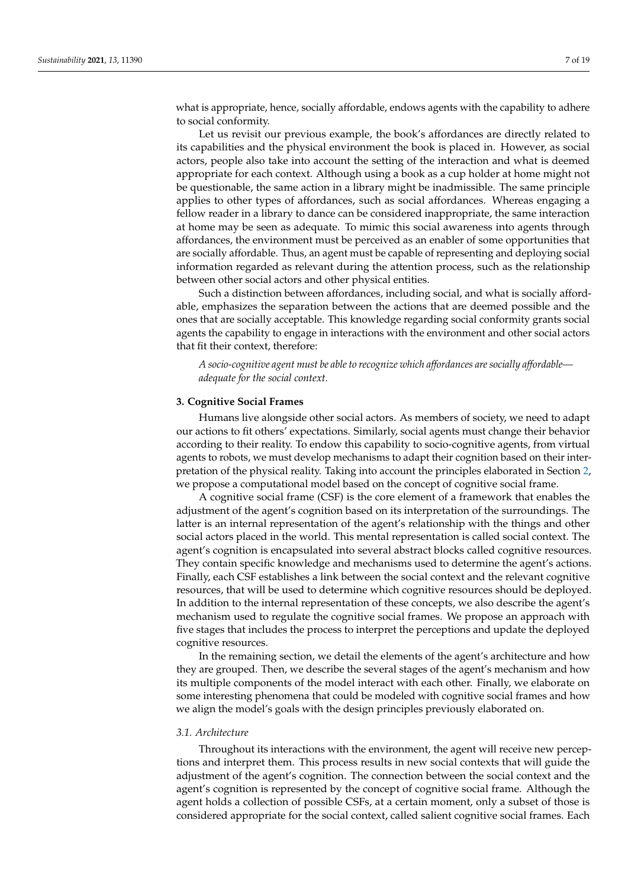what is appropriate, hence, socially affordable, endows agents with the capability to adhere to social conformity.

Let us revisit our previous example, the book's affordances are directly related to its capabilities and the physical environment the book is placed in. However, as social actors, people also take into account the setting of the interaction and what is deemed appropriate for each context. Although using a book as a cup holder at home might not be questionable, the same action in a library might be inadmissible. The same principle applies to other types of affordances, such as social affordances. Whereas engaging a fellow reader in a library to dance can be considered inappropriate, the same interaction at home may be seen as adequate. To mimic this social awareness into agents through affordances, the environment must be perceived as an enabler of some opportunities that are socially affordable. Thus, an agent must be capable of representing and deploying social information regarded as relevant during the attention process, such as the relationship between other social actors and other physical entities.

Such a distinction between affordances, including social, and what is socially affordable, emphasizes the separation between the actions that are deemed possible and the ones that are socially acceptable. This knowledge regarding social conformity grants social agents the capability to engage in interactions with the environment and other social actors that fit their context, therefore:

*A socio-cognitive agent must be able to recognize which affordances are socially affordable adequate for the social context.*

### **3. Cognitive Social Frames**

Humans live alongside other social actors. As members of society, we need to adapt our actions to fit others' expectations. Similarly, social agents must change their behavior according to their reality. To endow this capability to socio-cognitive agents, from virtual agents to robots, we must develop mechanisms to adapt their cognition based on their interpretation of the physical reality. Taking into account the principles elaborated in Section [2,](#page-2-0) we propose a computational model based on the concept of cognitive social frame.

A cognitive social frame (CSF) is the core element of a framework that enables the adjustment of the agent's cognition based on its interpretation of the surroundings. The latter is an internal representation of the agent's relationship with the things and other social actors placed in the world. This mental representation is called social context. The agent's cognition is encapsulated into several abstract blocks called cognitive resources. They contain specific knowledge and mechanisms used to determine the agent's actions. Finally, each CSF establishes a link between the social context and the relevant cognitive resources, that will be used to determine which cognitive resources should be deployed. In addition to the internal representation of these concepts, we also describe the agent's mechanism used to regulate the cognitive social frames. We propose an approach with five stages that includes the process to interpret the perceptions and update the deployed cognitive resources.

In the remaining section, we detail the elements of the agent's architecture and how they are grouped. Then, we describe the several stages of the agent's mechanism and how its multiple components of the model interact with each other. Finally, we elaborate on some interesting phenomena that could be modeled with cognitive social frames and how we align the model's goals with the design principles previously elaborated on.

#### *3.1. Architecture*

Throughout its interactions with the environment, the agent will receive new perceptions and interpret them. This process results in new social contexts that will guide the adjustment of the agent's cognition. The connection between the social context and the agent's cognition is represented by the concept of cognitive social frame. Although the agent holds a collection of possible CSFs, at a certain moment, only a subset of those is considered appropriate for the social context, called salient cognitive social frames. Each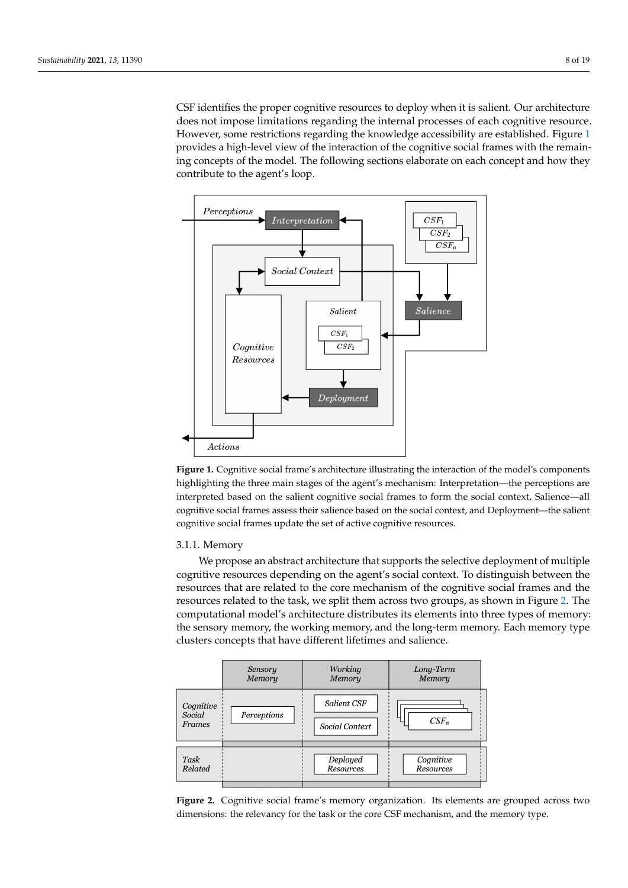CSF identifies the proper cognitive resources to deploy when it is salient. Our architecture does not impose limitations regarding the internal processes of each cognitive resource. However, some restrictions regarding the knowledge accessibility are established. Figure [1](#page-7-0) provides a high-level view of the interaction of the cognitive social frames with the remaining concepts of the model. The following sections elaborate on each concept and how they contribute to the agent's loop.

<span id="page-7-0"></span>

**Figure 1.** Cognitive social frame's architecture illustrating the interaction of the model's components highlighting the three main stages of the agent's mechanism: Interpretation—the perceptions are interpreted based on the salient cognitive social frames to form the social context, Salience—all cognitive social frames assess their salience based on the social context, and Deployment—the salient cognitive social frames update the set of active cognitive resources.

# 3.1.1. Memory

We propose an abstract architecture that supports the selective deployment of multiple cognitive resources depending on the agent's social context. To distinguish between the resources that are related to the core mechanism of the cognitive social frames and the resources related to the task, we split them across two groups, as shown in Figure [2.](#page-7-1) The computational model's architecture distributes its elements into three types of memory: the sensory memory, the working memory, and the long-term memory. Each memory type clusters concepts that have different lifetimes and salience.

<span id="page-7-1"></span>

**Figure 2.** Cognitive social frame's memory organization. Its elements are grouped across two dimensions: the relevancy for the task or the core CSF mechanism, and the memory type.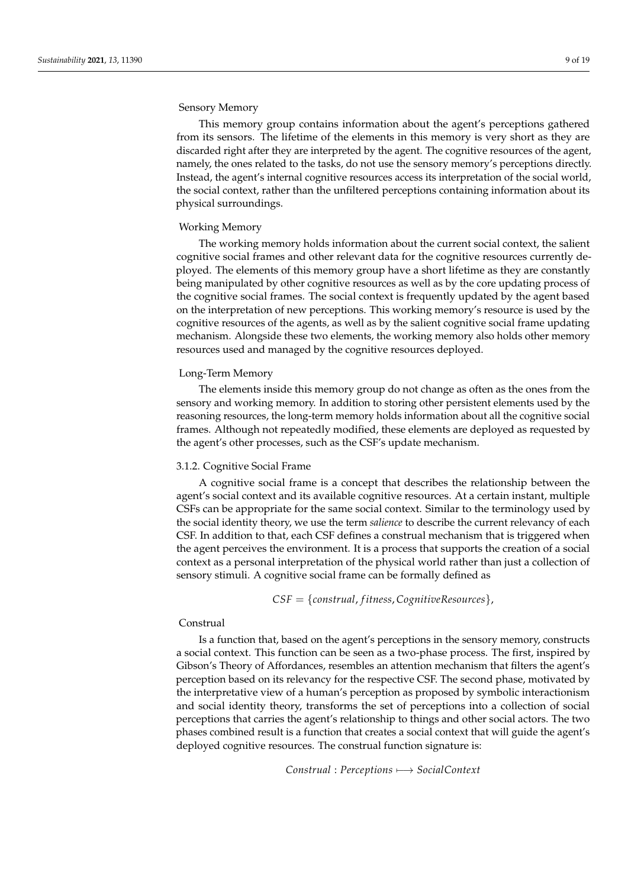# Sensory Memory

This memory group contains information about the agent's perceptions gathered from its sensors. The lifetime of the elements in this memory is very short as they are discarded right after they are interpreted by the agent. The cognitive resources of the agent, namely, the ones related to the tasks, do not use the sensory memory's perceptions directly. Instead, the agent's internal cognitive resources access its interpretation of the social world, the social context, rather than the unfiltered perceptions containing information about its physical surroundings.

# Working Memory

The working memory holds information about the current social context, the salient cognitive social frames and other relevant data for the cognitive resources currently deployed. The elements of this memory group have a short lifetime as they are constantly being manipulated by other cognitive resources as well as by the core updating process of the cognitive social frames. The social context is frequently updated by the agent based on the interpretation of new perceptions. This working memory's resource is used by the cognitive resources of the agents, as well as by the salient cognitive social frame updating mechanism. Alongside these two elements, the working memory also holds other memory resources used and managed by the cognitive resources deployed.

## Long-Term Memory

The elements inside this memory group do not change as often as the ones from the sensory and working memory. In addition to storing other persistent elements used by the reasoning resources, the long-term memory holds information about all the cognitive social frames. Although not repeatedly modified, these elements are deployed as requested by the agent's other processes, such as the CSF's update mechanism.

### 3.1.2. Cognitive Social Frame

A cognitive social frame is a concept that describes the relationship between the agent's social context and its available cognitive resources. At a certain instant, multiple CSFs can be appropriate for the same social context. Similar to the terminology used by the social identity theory, we use the term *salience* to describe the current relevancy of each CSF. In addition to that, each CSF defines a construal mechanism that is triggered when the agent perceives the environment. It is a process that supports the creation of a social context as a personal interpretation of the physical world rather than just a collection of sensory stimuli. A cognitive social frame can be formally defined as

*CSF* = {*construal*, *f itness*, *CognitiveResources*},

### Construal

Is a function that, based on the agent's perceptions in the sensory memory, constructs a social context. This function can be seen as a two-phase process. The first, inspired by Gibson's Theory of Affordances, resembles an attention mechanism that filters the agent's perception based on its relevancy for the respective CSF. The second phase, motivated by the interpretative view of a human's perception as proposed by symbolic interactionism and social identity theory, transforms the set of perceptions into a collection of social perceptions that carries the agent's relationship to things and other social actors. The two phases combined result is a function that creates a social context that will guide the agent's deployed cognitive resources. The construal function signature is:

*Construal* : *Perceptions* 7−→ *SocialContext*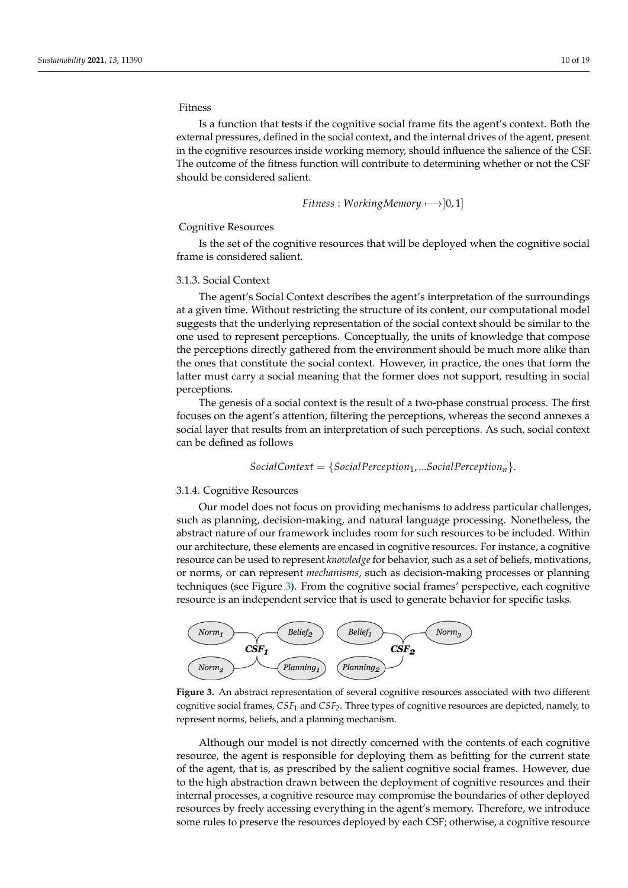# Fitness

Is a function that tests if the cognitive social frame fits the agent's context. Both the external pressures, defined in the social context, and the internal drives of the agent, present in the cognitive resources inside working memory, should influence the salience of the CSF. The outcome of the fitness function will contribute to determining whether or not the CSF should be considered salient.

$$
Fitness: WorkingMemory \longleftarrow ]0,1]
$$

# Cognitive Resources

Is the set of the cognitive resources that will be deployed when the cognitive social frame is considered salient.

### 3.1.3. Social Context

The agent's Social Context describes the agent's interpretation of the surroundings at a given time. Without restricting the structure of its content, our computational model suggests that the underlying representation of the social context should be similar to the one used to represent perceptions. Conceptually, the units of knowledge that compose the perceptions directly gathered from the environment should be much more alike than the ones that constitute the social context. However, in practice, the ones that form the latter must carry a social meaning that the former does not support, resulting in social perceptions.

The genesis of a social context is the result of a two-phase construal process. The first focuses on the agent's attention, filtering the perceptions, whereas the second annexes a social layer that results from an interpretation of such perceptions. As such, social context can be defined as follows

$$
SocialContext = \{Social Perception_1, ... Social Perception_n\}.
$$

### 3.1.4. Cognitive Resources

Our model does not focus on providing mechanisms to address particular challenges, such as planning, decision-making, and natural language processing. Nonetheless, the abstract nature of our framework includes room for such resources to be included. Within our architecture, these elements are encased in cognitive resources. For instance, a cognitive resource can be used to represent *knowledge* for behavior, such as a set of beliefs, motivations, or norms, or can represent *mechanisms*, such as decision-making processes or planning techniques (see Figure [3\)](#page-9-0). From the cognitive social frames' perspective, each cognitive resource is an independent service that is used to generate behavior for specific tasks.

<span id="page-9-0"></span>

**Figure 3.** An abstract representation of several cognitive resources associated with two different cognitive social frames, *CSF*<sup>1</sup> and *CSF*2. Three types of cognitive resources are depicted, namely, to represent norms, beliefs, and a planning mechanism.

Although our model is not directly concerned with the contents of each cognitive resource, the agent is responsible for deploying them as befitting for the current state of the agent, that is, as prescribed by the salient cognitive social frames. However, due to the high abstraction drawn between the deployment of cognitive resources and their internal processes, a cognitive resource may compromise the boundaries of other deployed resources by freely accessing everything in the agent's memory. Therefore, we introduce some rules to preserve the resources deployed by each CSF; otherwise, a cognitive resource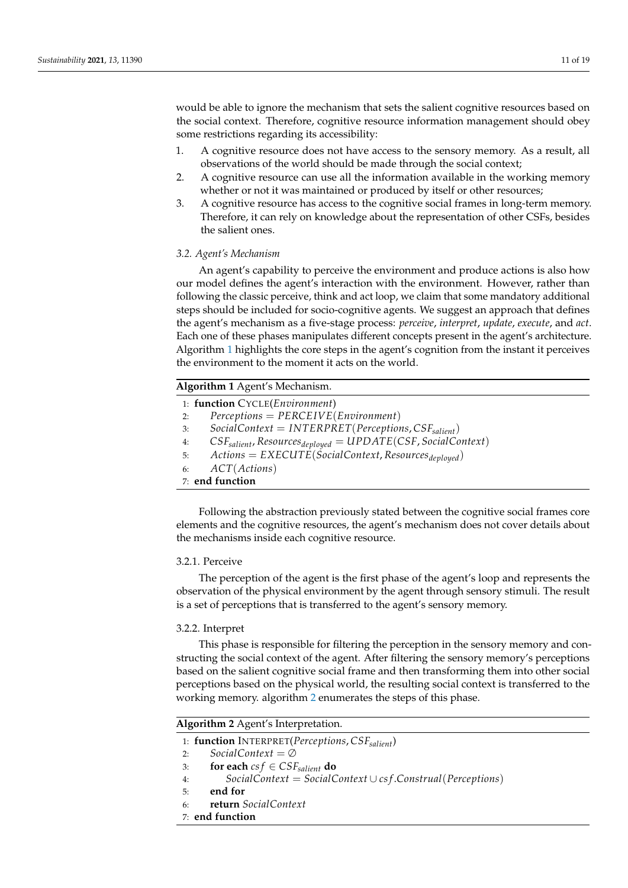would be able to ignore the mechanism that sets the salient cognitive resources based on the social context. Therefore, cognitive resource information management should obey some restrictions regarding its accessibility:

- 1. A cognitive resource does not have access to the sensory memory. As a result, all observations of the world should be made through the social context;
- 2. A cognitive resource can use all the information available in the working memory whether or not it was maintained or produced by itself or other resources;
- 3. A cognitive resource has access to the cognitive social frames in long-term memory. Therefore, it can rely on knowledge about the representation of other CSFs, besides the salient ones.

### *3.2. Agent's Mechanism*

An agent's capability to perceive the environment and produce actions is also how our model defines the agent's interaction with the environment. However, rather than following the classic perceive, think and act loop, we claim that some mandatory additional steps should be included for socio-cognitive agents. We suggest an approach that defines the agent's mechanism as a five-stage process: *perceive*, *interpret*, *update*, *execute*, and *act*. Each one of these phases manipulates different concepts present in the agent's architecture. Algorithm [1](#page-10-0) highlights the core steps in the agent's cognition from the instant it perceives the environment to the moment it acts on the world.

# <span id="page-10-0"></span>**Algorithm 1** Agent's Mechanism.

|    | 1: function CYCLE(Environment)                                                 |
|----|--------------------------------------------------------------------------------|
| 2: | $Perceptions = PERCEIVE(Environment)$                                          |
| 3: | $SocialContext = INTERPRET(Pereptions, CSF_{salient})$                         |
| 4: | $CSF_{salient}$ , Resources <sub>deployed</sub> = $UPDATE(CSF, SocialContext)$ |
|    | 5: Actions = EXECUTE(SocialContext, Resources <sub>deployed</sub> )            |
|    | 6: $ACT(Actions)$                                                              |
|    | 7: end function                                                                |

Following the abstraction previously stated between the cognitive social frames core elements and the cognitive resources, the agent's mechanism does not cover details about the mechanisms inside each cognitive resource.

# 3.2.1. Perceive

The perception of the agent is the first phase of the agent's loop and represents the observation of the physical environment by the agent through sensory stimuli. The result is a set of perceptions that is transferred to the agent's sensory memory.

# 3.2.2. Interpret

This phase is responsible for filtering the perception in the sensory memory and constructing the social context of the agent. After filtering the sensory memory's perceptions based on the salient cognitive social frame and then transforming them into other social perceptions based on the physical world, the resulting social context is transferred to the working memory. algorithm [2](#page-10-1) enumerates the steps of this phase.

<span id="page-10-1"></span>**Algorithm 2** Agent's Interpretation.

- 1: **function** INTERPRET(*Perceptions*,  $CSF_{salient}$ )<br>2: *SocialContext* =  $\varnothing$
- 2: *SocialContext* = ∅
- 3: **for each**  $csf \in CSF_{salient}$  **do**<br>4: **SocialContext** = **SocialContext**
- 4: *SocialContext* = *SocialContext* ∪ *cs f* .*Construal*(*Perceptions*)
- 5: **end for**
- 6: **return** *SocialContext*
- 7: **end function**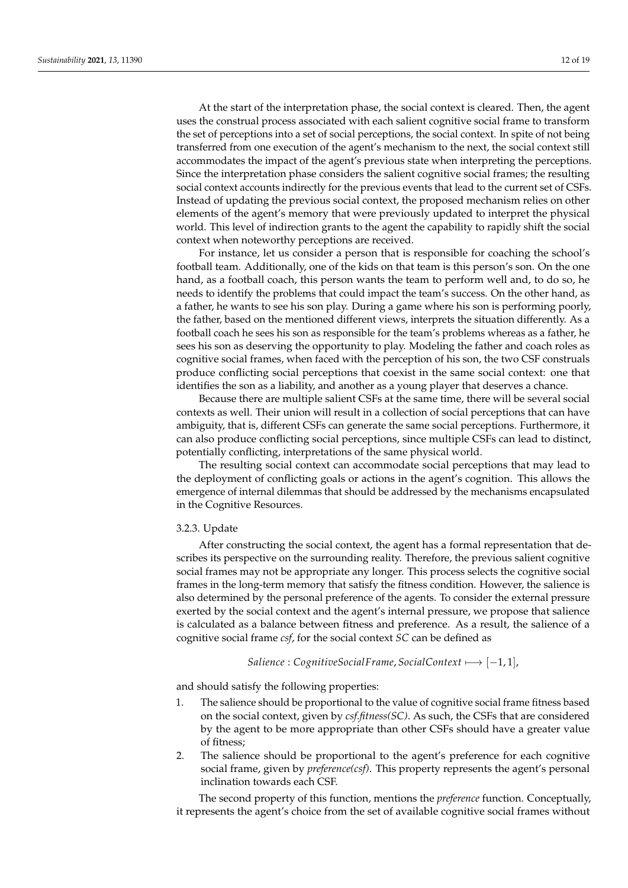At the start of the interpretation phase, the social context is cleared. Then, the agent uses the construal process associated with each salient cognitive social frame to transform the set of perceptions into a set of social perceptions, the social context. In spite of not being transferred from one execution of the agent's mechanism to the next, the social context still accommodates the impact of the agent's previous state when interpreting the perceptions. Since the interpretation phase considers the salient cognitive social frames; the resulting social context accounts indirectly for the previous events that lead to the current set of CSFs. Instead of updating the previous social context, the proposed mechanism relies on other elements of the agent's memory that were previously updated to interpret the physical world. This level of indirection grants to the agent the capability to rapidly shift the social context when noteworthy perceptions are received.

For instance, let us consider a person that is responsible for coaching the school's football team. Additionally, one of the kids on that team is this person's son. On the one hand, as a football coach, this person wants the team to perform well and, to do so, he needs to identify the problems that could impact the team's success. On the other hand, as a father, he wants to see his son play. During a game where his son is performing poorly, the father, based on the mentioned different views, interprets the situation differently. As a football coach he sees his son as responsible for the team's problems whereas as a father, he sees his son as deserving the opportunity to play. Modeling the father and coach roles as cognitive social frames, when faced with the perception of his son, the two CSF construals produce conflicting social perceptions that coexist in the same social context: one that identifies the son as a liability, and another as a young player that deserves a chance.

Because there are multiple salient CSFs at the same time, there will be several social contexts as well. Their union will result in a collection of social perceptions that can have ambiguity, that is, different CSFs can generate the same social perceptions. Furthermore, it can also produce conflicting social perceptions, since multiple CSFs can lead to distinct, potentially conflicting, interpretations of the same physical world.

The resulting social context can accommodate social perceptions that may lead to the deployment of conflicting goals or actions in the agent's cognition. This allows the emergence of internal dilemmas that should be addressed by the mechanisms encapsulated in the Cognitive Resources.

### 3.2.3. Update

After constructing the social context, the agent has a formal representation that describes its perspective on the surrounding reality. Therefore, the previous salient cognitive social frames may not be appropriate any longer. This process selects the cognitive social frames in the long-term memory that satisfy the fitness condition. However, the salience is also determined by the personal preference of the agents. To consider the external pressure exerted by the social context and the agent's internal pressure, we propose that salience is calculated as a balance between fitness and preference. As a result, the salience of a cognitive social frame *csf*, for the social context *SC* can be defined as

# *Salience* : *CognitiveSocialFrame*, *SocialContext* 7−→ [−1, 1],

and should satisfy the following properties:

- 1. The salience should be proportional to the value of cognitive social frame fitness based on the social context, given by *csf.fitness(SC)*. As such, the CSFs that are considered by the agent to be more appropriate than other CSFs should have a greater value of fitness;
- 2. The salience should be proportional to the agent's preference for each cognitive social frame, given by *preference(csf)*. This property represents the agent's personal inclination towards each CSF.

The second property of this function, mentions the *preference* function. Conceptually, it represents the agent's choice from the set of available cognitive social frames without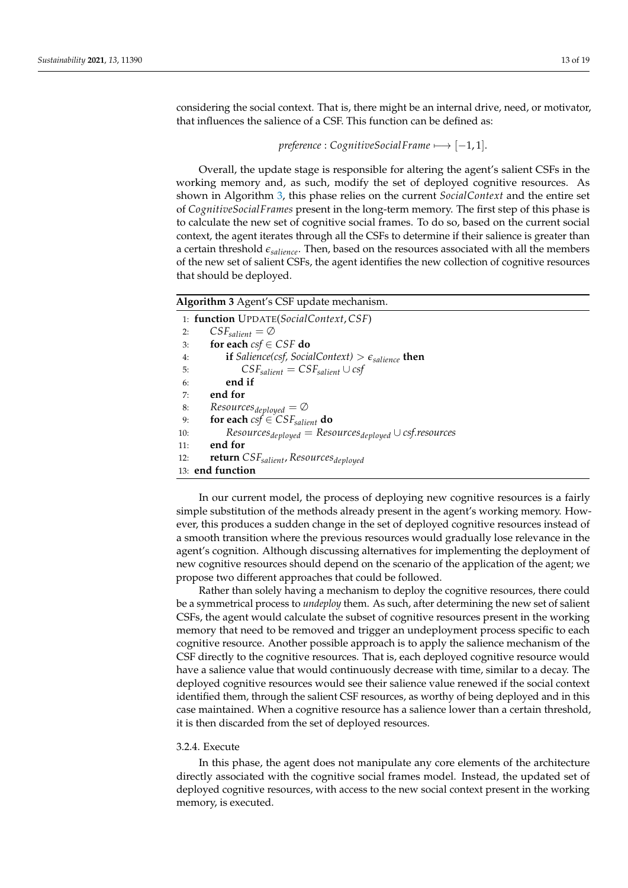considering the social context. That is, there might be an internal drive, need, or motivator, that influences the salience of a CSF. This function can be defined as:

```
preference : CognitiveSocialFrame 7−→ [−1, 1].
```
Overall, the update stage is responsible for altering the agent's salient CSFs in the working memory and, as such, modify the set of deployed cognitive resources. As shown in Algorithm [3,](#page-12-0) this phase relies on the current *SocialContext* and the entire set of *CognitiveSocialFrames* present in the long-term memory. The first step of this phase is to calculate the new set of cognitive social frames. To do so, based on the current social context, the agent iterates through all the CSFs to determine if their salience is greater than a certain threshold *esalience*. Then, based on the resources associated with all the members of the new set of salient CSFs, the agent identifies the new collection of cognitive resources that should be deployed.

<span id="page-12-0"></span>**Algorithm 3** Agent's CSF update mechanism.

|     | 1: function UPDATE(SocialContext, CSF)                                     |
|-----|----------------------------------------------------------------------------|
| 2:  | $CSF_{salient} = \emptyset$                                                |
| 3:  | for each $csf \in CSF$ do                                                  |
| 4:  | <b>if</b> Salience(csf, SocialContext) > $\epsilon_{\text{salience}}$ then |
| 5:  | $CSF_{salient} = CSF_{salient} \cup csf$                                   |
| 6:  | end if                                                                     |
| 7:  | end for                                                                    |
| 8:  | $Resources_{deployed} = \emptyset$                                         |
| 9:  | for each $csf \in CSF_{salient}$ do                                        |
| 10: | $Resources_{deployed} = Resources_{deployed} \cup csf.$ resources          |
| 11: | end for                                                                    |
| 12: | <b>return</b> CSF <sub>salient</sub> , Resources <sub>deployed</sub>       |
|     | 13: end function                                                           |

In our current model, the process of deploying new cognitive resources is a fairly simple substitution of the methods already present in the agent's working memory. However, this produces a sudden change in the set of deployed cognitive resources instead of a smooth transition where the previous resources would gradually lose relevance in the agent's cognition. Although discussing alternatives for implementing the deployment of new cognitive resources should depend on the scenario of the application of the agent; we propose two different approaches that could be followed.

Rather than solely having a mechanism to deploy the cognitive resources, there could be a symmetrical process to *undeploy* them. As such, after determining the new set of salient CSFs, the agent would calculate the subset of cognitive resources present in the working memory that need to be removed and trigger an undeployment process specific to each cognitive resource. Another possible approach is to apply the salience mechanism of the CSF directly to the cognitive resources. That is, each deployed cognitive resource would have a salience value that would continuously decrease with time, similar to a decay. The deployed cognitive resources would see their salience value renewed if the social context identified them, through the salient CSF resources, as worthy of being deployed and in this case maintained. When a cognitive resource has a salience lower than a certain threshold, it is then discarded from the set of deployed resources.

### 3.2.4. Execute

In this phase, the agent does not manipulate any core elements of the architecture directly associated with the cognitive social frames model. Instead, the updated set of deployed cognitive resources, with access to the new social context present in the working memory, is executed.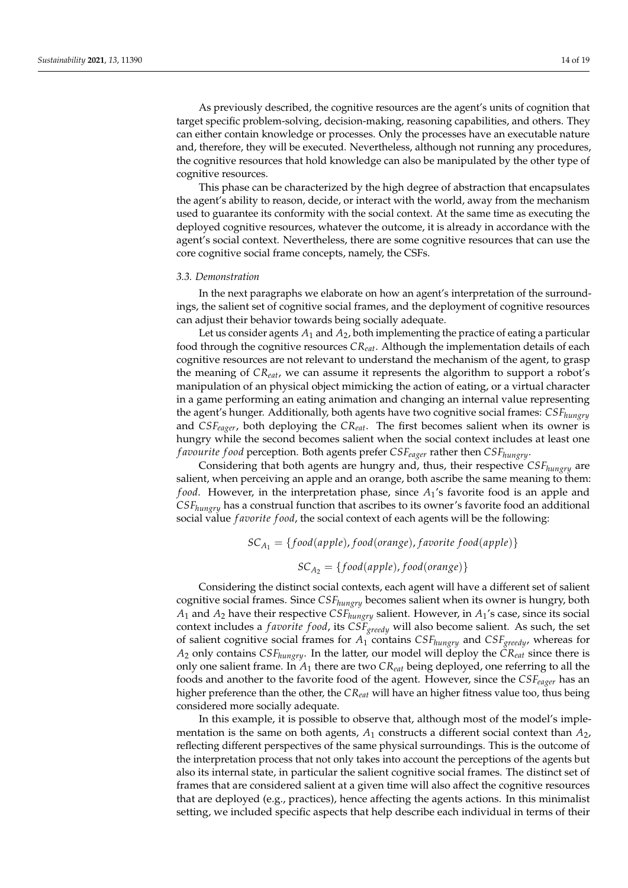As previously described, the cognitive resources are the agent's units of cognition that target specific problem-solving, decision-making, reasoning capabilities, and others. They can either contain knowledge or processes. Only the processes have an executable nature and, therefore, they will be executed. Nevertheless, although not running any procedures, the cognitive resources that hold knowledge can also be manipulated by the other type of cognitive resources.

This phase can be characterized by the high degree of abstraction that encapsulates the agent's ability to reason, decide, or interact with the world, away from the mechanism used to guarantee its conformity with the social context. At the same time as executing the deployed cognitive resources, whatever the outcome, it is already in accordance with the agent's social context. Nevertheless, there are some cognitive resources that can use the core cognitive social frame concepts, namely, the CSFs.

### *3.3. Demonstration*

In the next paragraphs we elaborate on how an agent's interpretation of the surroundings, the salient set of cognitive social frames, and the deployment of cognitive resources can adjust their behavior towards being socially adequate.

Let us consider agents *A*<sup>1</sup> and *A*2, both implementing the practice of eating a particular food through the cognitive resources *CReat*. Although the implementation details of each cognitive resources are not relevant to understand the mechanism of the agent, to grasp the meaning of *CReat*, we can assume it represents the algorithm to support a robot's manipulation of an physical object mimicking the action of eating, or a virtual character in a game performing an eating animation and changing an internal value representing the agent's hunger. Additionally, both agents have two cognitive social frames: *CSFhungry* and *CSFeager*, both deploying the *CReat*. The first becomes salient when its owner is hungry while the second becomes salient when the social context includes at least one *f avourite f ood* perception. Both agents prefer *CSFeager* rather then *CSFhungry*.

Considering that both agents are hungry and, thus, their respective *CSFhungry* are salient, when perceiving an apple and an orange, both ascribe the same meaning to them: *f ood*. However, in the interpretation phase, since *A*1's favorite food is an apple and *CSFhungry* has a construal function that ascribes to its owner's favorite food an additional social value *f avorite f ood*, the social context of each agents will be the following:

$$
SC_{A_1} = \{food(apple), food(orange), favorite food(apple)\}\
$$
  
 $SC_A = \{food(anple), food(orange)\}$ 

$$
3C_{A_2} = \{j \cdot 60u(\mu p \mu \epsilon), j \cdot 60u(\nu \mu n \xi \epsilon)\}
$$

Considering the distinct social contexts, each agent will have a different set of salient cognitive social frames. Since *CSFhungry* becomes salient when its owner is hungry, both  $A_1$  and  $A_2$  have their respective  $CSF_{hungry}$  salient. However, in  $A_1$ 's case, since its social context includes a *f avorite f ood*, its *CSFgreedy* will also become salient. As such, the set of salient cognitive social frames for *A*<sup>1</sup> contains *CSFhungry* and *CSFgreedy*, whereas for *A*<sup>2</sup> only contains *CSFhungry*. In the latter, our model will deploy the *CReat* since there is only one salient frame. In *A*<sup>1</sup> there are two *CReat* being deployed, one referring to all the foods and another to the favorite food of the agent. However, since the *CSFeager* has an higher preference than the other, the *CReat* will have an higher fitness value too, thus being considered more socially adequate.

In this example, it is possible to observe that, although most of the model's implementation is the same on both agents,  $A_1$  constructs a different social context than  $A_2$ , reflecting different perspectives of the same physical surroundings. This is the outcome of the interpretation process that not only takes into account the perceptions of the agents but also its internal state, in particular the salient cognitive social frames. The distinct set of frames that are considered salient at a given time will also affect the cognitive resources that are deployed (e.g., practices), hence affecting the agents actions. In this minimalist setting, we included specific aspects that help describe each individual in terms of their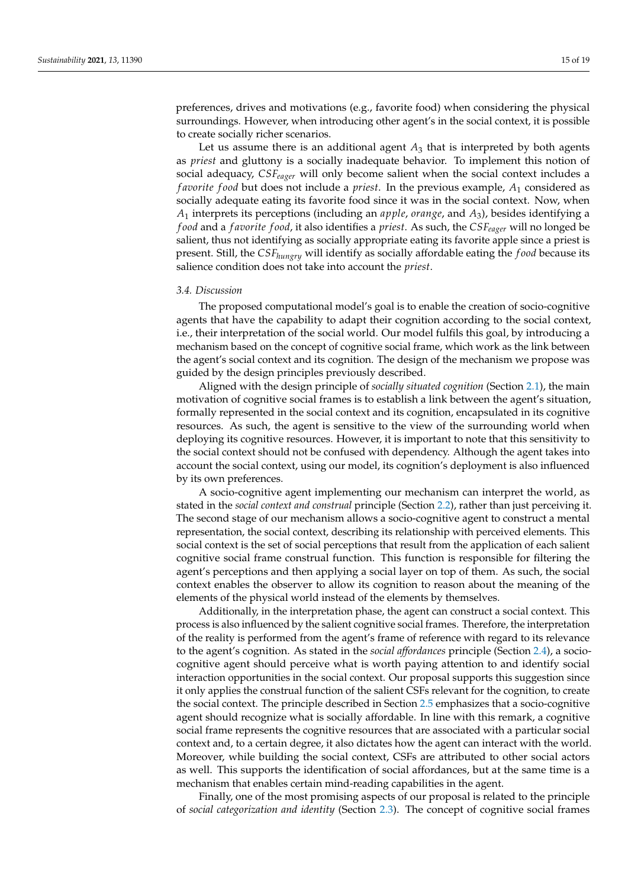preferences, drives and motivations (e.g., favorite food) when considering the physical surroundings. However, when introducing other agent's in the social context, it is possible to create socially richer scenarios.

Let us assume there is an additional agent  $A_3$  that is interpreted by both agents as *priest* and gluttony is a socially inadequate behavior. To implement this notion of social adequacy, *CSFeager* will only become salient when the social context includes a *f avorite f ood* but does not include a *priest*. In the previous example, *A*<sup>1</sup> considered as socially adequate eating its favorite food since it was in the social context. Now, when *A*<sup>1</sup> interprets its perceptions (including an *apple*, *orange*, and *A*3), besides identifying a *f ood* and a *f avorite f ood*, it also identifies a *priest*. As such, the *CSFeager* will no longed be salient, thus not identifying as socially appropriate eating its favorite apple since a priest is present. Still, the *CSFhungry* will identify as socially affordable eating the *f ood* because its salience condition does not take into account the *priest*.

# *3.4. Discussion*

The proposed computational model's goal is to enable the creation of socio-cognitive agents that have the capability to adapt their cognition according to the social context, i.e., their interpretation of the social world. Our model fulfils this goal, by introducing a mechanism based on the concept of cognitive social frame, which work as the link between the agent's social context and its cognition. The design of the mechanism we propose was guided by the design principles previously described.

Aligned with the design principle of *socially situated cognition* (Section [2.1\)](#page-2-1), the main motivation of cognitive social frames is to establish a link between the agent's situation, formally represented in the social context and its cognition, encapsulated in its cognitive resources. As such, the agent is sensitive to the view of the surrounding world when deploying its cognitive resources. However, it is important to note that this sensitivity to the social context should not be confused with dependency. Although the agent takes into account the social context, using our model, its cognition's deployment is also influenced by its own preferences.

A socio-cognitive agent implementing our mechanism can interpret the world, as stated in the *social context and construal* principle (Section [2.2\)](#page-3-0), rather than just perceiving it. The second stage of our mechanism allows a socio-cognitive agent to construct a mental representation, the social context, describing its relationship with perceived elements. This social context is the set of social perceptions that result from the application of each salient cognitive social frame construal function. This function is responsible for filtering the agent's perceptions and then applying a social layer on top of them. As such, the social context enables the observer to allow its cognition to reason about the meaning of the elements of the physical world instead of the elements by themselves.

Additionally, in the interpretation phase, the agent can construct a social context. This process is also influenced by the salient cognitive social frames. Therefore, the interpretation of the reality is performed from the agent's frame of reference with regard to its relevance to the agent's cognition. As stated in the *social affordances* principle (Section [2.4\)](#page-4-0), a sociocognitive agent should perceive what is worth paying attention to and identify social interaction opportunities in the social context. Our proposal supports this suggestion since it only applies the construal function of the salient CSFs relevant for the cognition, to create the social context. The principle described in Section [2.5](#page-5-0) emphasizes that a socio-cognitive agent should recognize what is socially affordable. In line with this remark, a cognitive social frame represents the cognitive resources that are associated with a particular social context and, to a certain degree, it also dictates how the agent can interact with the world. Moreover, while building the social context, CSFs are attributed to other social actors as well. This supports the identification of social affordances, but at the same time is a mechanism that enables certain mind-reading capabilities in the agent.

Finally, one of the most promising aspects of our proposal is related to the principle of *social categorization and identity* (Section [2.3\)](#page-4-1). The concept of cognitive social frames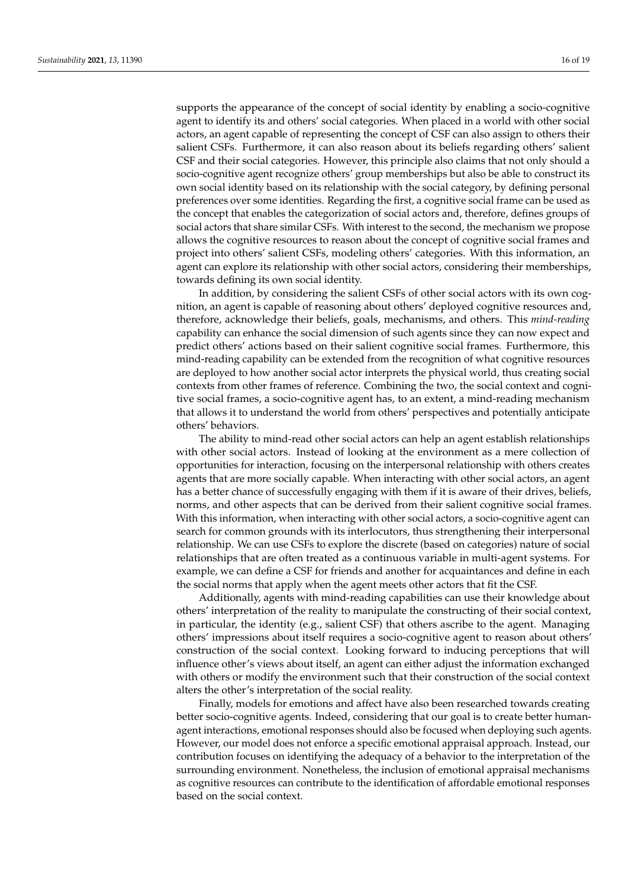supports the appearance of the concept of social identity by enabling a socio-cognitive agent to identify its and others' social categories. When placed in a world with other social actors, an agent capable of representing the concept of CSF can also assign to others their salient CSFs. Furthermore, it can also reason about its beliefs regarding others' salient CSF and their social categories. However, this principle also claims that not only should a socio-cognitive agent recognize others' group memberships but also be able to construct its own social identity based on its relationship with the social category, by defining personal preferences over some identities. Regarding the first, a cognitive social frame can be used as the concept that enables the categorization of social actors and, therefore, defines groups of social actors that share similar CSFs. With interest to the second, the mechanism we propose allows the cognitive resources to reason about the concept of cognitive social frames and project into others' salient CSFs, modeling others' categories. With this information, an agent can explore its relationship with other social actors, considering their memberships, towards defining its own social identity.

In addition, by considering the salient CSFs of other social actors with its own cognition, an agent is capable of reasoning about others' deployed cognitive resources and, therefore, acknowledge their beliefs, goals, mechanisms, and others. This *mind-reading* capability can enhance the social dimension of such agents since they can now expect and predict others' actions based on their salient cognitive social frames. Furthermore, this mind-reading capability can be extended from the recognition of what cognitive resources are deployed to how another social actor interprets the physical world, thus creating social contexts from other frames of reference. Combining the two, the social context and cognitive social frames, a socio-cognitive agent has, to an extent, a mind-reading mechanism that allows it to understand the world from others' perspectives and potentially anticipate others' behaviors.

The ability to mind-read other social actors can help an agent establish relationships with other social actors. Instead of looking at the environment as a mere collection of opportunities for interaction, focusing on the interpersonal relationship with others creates agents that are more socially capable. When interacting with other social actors, an agent has a better chance of successfully engaging with them if it is aware of their drives, beliefs, norms, and other aspects that can be derived from their salient cognitive social frames. With this information, when interacting with other social actors, a socio-cognitive agent can search for common grounds with its interlocutors, thus strengthening their interpersonal relationship. We can use CSFs to explore the discrete (based on categories) nature of social relationships that are often treated as a continuous variable in multi-agent systems. For example, we can define a CSF for friends and another for acquaintances and define in each the social norms that apply when the agent meets other actors that fit the CSF.

Additionally, agents with mind-reading capabilities can use their knowledge about others' interpretation of the reality to manipulate the constructing of their social context, in particular, the identity (e.g., salient CSF) that others ascribe to the agent. Managing others' impressions about itself requires a socio-cognitive agent to reason about others' construction of the social context. Looking forward to inducing perceptions that will influence other's views about itself, an agent can either adjust the information exchanged with others or modify the environment such that their construction of the social context alters the other's interpretation of the social reality.

Finally, models for emotions and affect have also been researched towards creating better socio-cognitive agents. Indeed, considering that our goal is to create better humanagent interactions, emotional responses should also be focused when deploying such agents. However, our model does not enforce a specific emotional appraisal approach. Instead, our contribution focuses on identifying the adequacy of a behavior to the interpretation of the surrounding environment. Nonetheless, the inclusion of emotional appraisal mechanisms as cognitive resources can contribute to the identification of affordable emotional responses based on the social context.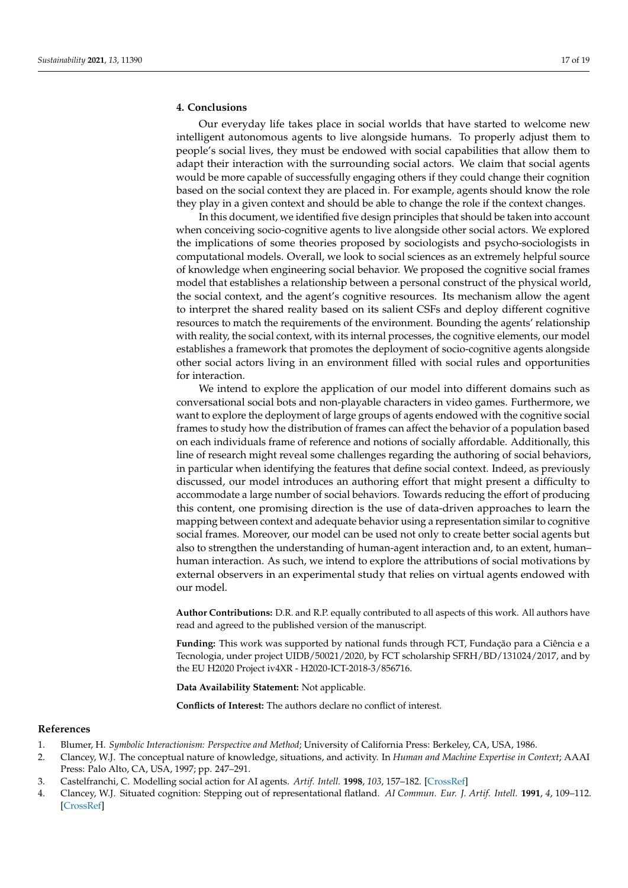# **4. Conclusions**

Our everyday life takes place in social worlds that have started to welcome new intelligent autonomous agents to live alongside humans. To properly adjust them to people's social lives, they must be endowed with social capabilities that allow them to adapt their interaction with the surrounding social actors. We claim that social agents would be more capable of successfully engaging others if they could change their cognition based on the social context they are placed in. For example, agents should know the role they play in a given context and should be able to change the role if the context changes.

In this document, we identified five design principles that should be taken into account when conceiving socio-cognitive agents to live alongside other social actors. We explored the implications of some theories proposed by sociologists and psycho-sociologists in computational models. Overall, we look to social sciences as an extremely helpful source of knowledge when engineering social behavior. We proposed the cognitive social frames model that establishes a relationship between a personal construct of the physical world, the social context, and the agent's cognitive resources. Its mechanism allow the agent to interpret the shared reality based on its salient CSFs and deploy different cognitive resources to match the requirements of the environment. Bounding the agents' relationship with reality, the social context, with its internal processes, the cognitive elements, our model establishes a framework that promotes the deployment of socio-cognitive agents alongside other social actors living in an environment filled with social rules and opportunities for interaction.

We intend to explore the application of our model into different domains such as conversational social bots and non-playable characters in video games. Furthermore, we want to explore the deployment of large groups of agents endowed with the cognitive social frames to study how the distribution of frames can affect the behavior of a population based on each individuals frame of reference and notions of socially affordable. Additionally, this line of research might reveal some challenges regarding the authoring of social behaviors, in particular when identifying the features that define social context. Indeed, as previously discussed, our model introduces an authoring effort that might present a difficulty to accommodate a large number of social behaviors. Towards reducing the effort of producing this content, one promising direction is the use of data-driven approaches to learn the mapping between context and adequate behavior using a representation similar to cognitive social frames. Moreover, our model can be used not only to create better social agents but also to strengthen the understanding of human-agent interaction and, to an extent, human– human interaction. As such, we intend to explore the attributions of social motivations by external observers in an experimental study that relies on virtual agents endowed with our model.

**Author Contributions:** D.R. and R.P. equally contributed to all aspects of this work. All authors have read and agreed to the published version of the manuscript.

**Funding:** This work was supported by national funds through FCT, Fundação para a Ciência e a Tecnologia, under project UIDB/50021/2020, by FCT scholarship SFRH/BD/131024/2017, and by the EU H2020 Project iv4XR - H2020-ICT-2018-3/856716.

**Data Availability Statement:** Not applicable.

**Conflicts of Interest:** The authors declare no conflict of interest.

### **References**

- <span id="page-16-0"></span>1. Blumer, H. *Symbolic Interactionism: Perspective and Method*; University of California Press: Berkeley, CA, USA, 1986.
- <span id="page-16-1"></span>2. Clancey, W.J. The conceptual nature of knowledge, situations, and activity. In *Human and Machine Expertise in Context*; AAAI Press: Palo Alto, CA, USA, 1997; pp. 247–291.
- <span id="page-16-2"></span>3. Castelfranchi, C. Modelling social action for AI agents. *Artif. Intell.* **1998**, *103*, 157–182. [\[CrossRef\]](http://doi.org/10.1016/S0004-3702(98)00056-3)
- <span id="page-16-3"></span>4. Clancey, W.J. Situated cognition: Stepping out of representational flatland. *AI Commun. Eur. J. Artif. Intell.* **1991**, *4*, 109–112. [\[CrossRef\]](http://dx.doi.org/10.3233/AIC-1991-42-309)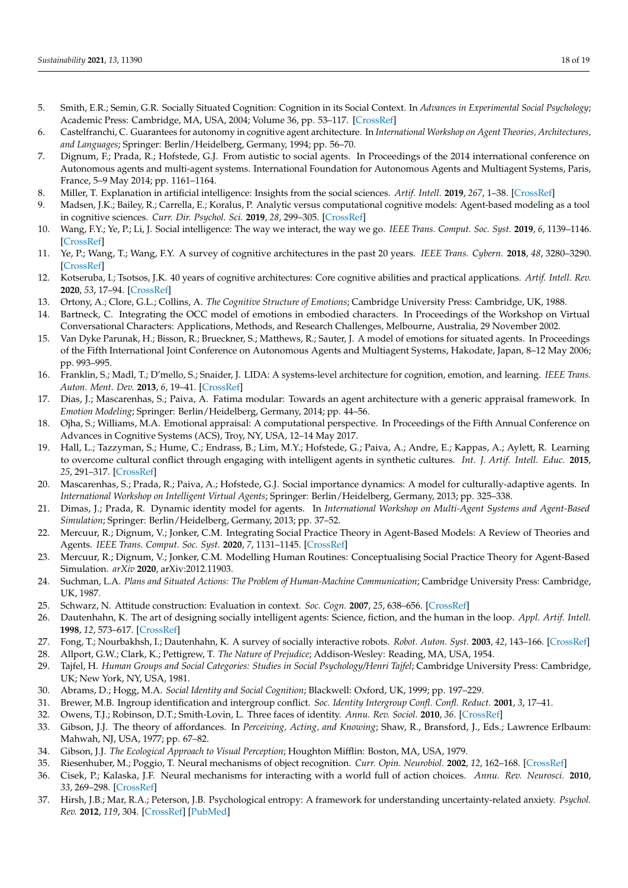- <span id="page-17-0"></span>5. Smith, E.R.; Semin, G.R. Socially Situated Cognition: Cognition in its Social Context. In *Advances in Experimental Social Psychology*; Academic Press: Cambridge, MA, USA, 2004; Volume 36, pp. 53–117. [\[CrossRef\]](http://dx.doi.org/10.1016/S0065-2601(04)36002-8)
- <span id="page-17-1"></span>6. Castelfranchi, C. Guarantees for autonomy in cognitive agent architecture. In *International Workshop on Agent Theories, Architectures, and Languages*; Springer: Berlin/Heidelberg, Germany, 1994; pp. 56–70.
- <span id="page-17-2"></span>7. Dignum, F.; Prada, R.; Hofstede, G.J. From autistic to social agents. In Proceedings of the 2014 international conference on Autonomous agents and multi-agent systems. International Foundation for Autonomous Agents and Multiagent Systems, Paris, France, 5–9 May 2014; pp. 1161–1164.
- <span id="page-17-3"></span>8. Miller, T. Explanation in artificial intelligence: Insights from the social sciences. *Artif. Intell.* **2019**, *267*, 1–38. [\[CrossRef\]](http://dx.doi.org/10.1016/j.artint.2018.07.007)
- <span id="page-17-4"></span>9. Madsen, J.K.; Bailey, R.; Carrella, E.; Koralus, P. Analytic versus computational cognitive models: Agent-based modeling as a tool in cognitive sciences. *Curr. Dir. Psychol. Sci.* **2019**, *28*, 299–305. [\[CrossRef\]](http://dx.doi.org/10.1177/0963721419834547)
- <span id="page-17-5"></span>10. Wang, F.Y.; Ye, P.; Li, J. Social intelligence: The way we interact, the way we go. *IEEE Trans. Comput. Soc. Syst.* **2019**, *6*, 1139–1146. [\[CrossRef\]](http://dx.doi.org/10.1109/TCSS.2019.2954920)
- <span id="page-17-6"></span>11. Ye, P.; Wang, T.; Wang, F.Y. A survey of cognitive architectures in the past 20 years. *IEEE Trans. Cybern.* **2018**, *48*, 3280–3290. [\[CrossRef\]](http://dx.doi.org/10.1109/TCYB.2018.2857704)
- <span id="page-17-7"></span>12. Kotseruba, I.; Tsotsos, J.K. 40 years of cognitive architectures: Core cognitive abilities and practical applications. *Artif. Intell. Rev.* **2020**, *53*, 17–94. [\[CrossRef\]](http://dx.doi.org/10.1007/s10462-018-9646-y)
- <span id="page-17-8"></span>13. Ortony, A.; Clore, G.L.; Collins, A. *The Cognitive Structure of Emotions*; Cambridge University Press: Cambridge, UK, 1988.
- <span id="page-17-9"></span>14. Bartneck, C. Integrating the OCC model of emotions in embodied characters. In Proceedings of the Workshop on Virtual Conversational Characters: Applications, Methods, and Research Challenges, Melbourne, Australia, 29 November 2002.
- <span id="page-17-10"></span>15. Van Dyke Parunak, H.; Bisson, R.; Brueckner, S.; Matthews, R.; Sauter, J. A model of emotions for situated agents. In Proceedings of the Fifth International Joint Conference on Autonomous Agents and Multiagent Systems, Hakodate, Japan, 8–12 May 2006; pp. 993–995.
- <span id="page-17-11"></span>16. Franklin, S.; Madl, T.; D'mello, S.; Snaider, J. LIDA: A systems-level architecture for cognition, emotion, and learning. *IEEE Trans. Auton. Ment. Dev.* **2013**, *6*, 19–41. [\[CrossRef\]](http://dx.doi.org/10.1109/TAMD.2013.2277589)
- <span id="page-17-12"></span>17. Dias, J.; Mascarenhas, S.; Paiva, A. Fatima modular: Towards an agent architecture with a generic appraisal framework. In *Emotion Modeling*; Springer: Berlin/Heidelberg, Germany, 2014; pp. 44–56.
- <span id="page-17-13"></span>18. Ojha, S.; Williams, M.A. Emotional appraisal: A computational perspective. In Proceedings of the Fifth Annual Conference on Advances in Cognitive Systems (ACS), Troy, NY, USA, 12–14 May 2017.
- <span id="page-17-14"></span>19. Hall, L.; Tazzyman, S.; Hume, C.; Endrass, B.; Lim, M.Y.; Hofstede, G.; Paiva, A.; Andre, E.; Kappas, A.; Aylett, R. Learning to overcome cultural conflict through engaging with intelligent agents in synthetic cultures. *Int. J. Artif. Intell. Educ.* **2015**, *25*, 291–317. [\[CrossRef\]](http://dx.doi.org/10.1007/s40593-014-0031-y)
- <span id="page-17-15"></span>20. Mascarenhas, S.; Prada, R.; Paiva, A.; Hofstede, G.J. Social importance dynamics: A model for culturally-adaptive agents. In *International Workshop on Intelligent Virtual Agents*; Springer: Berlin/Heidelberg, Germany, 2013; pp. 325–338.
- <span id="page-17-16"></span>21. Dimas, J.; Prada, R. Dynamic identity model for agents. In *International Workshop on Multi-Agent Systems and Agent-Based Simulation*; Springer: Berlin/Heidelberg, Germany, 2013; pp. 37–52.
- <span id="page-17-17"></span>22. Mercuur, R.; Dignum, V.; Jonker, C.M. Integrating Social Practice Theory in Agent-Based Models: A Review of Theories and Agents. *IEEE Trans. Comput. Soc. Syst.* **2020**, *7*, 1131–1145. [\[CrossRef\]](http://dx.doi.org/10.1109/TCSS.2020.3007930)
- <span id="page-17-18"></span>23. Mercuur, R.; Dignum, V.; Jonker, C.M. Modelling Human Routines: Conceptualising Social Practice Theory for Agent-Based Simulation. *arXiv* **2020**, arXiv:2012.11903.
- <span id="page-17-19"></span>24. Suchman, L.A. *Plans and Situated Actions: The Problem of Human-Machine Communication*; Cambridge University Press: Cambridge, UK, 1987.
- <span id="page-17-20"></span>25. Schwarz, N. Attitude construction: Evaluation in context. *Soc. Cogn.* **2007**, *25*, 638–656. [\[CrossRef\]](http://dx.doi.org/10.1521/soco.2007.25.5.638)
- <span id="page-17-21"></span>26. Dautenhahn, K. The art of designing socially intelligent agents: Science, fiction, and the human in the loop. *Appl. Artif. Intell.* **1998**, *12*, 573–617. [\[CrossRef\]](http://dx.doi.org/10.1080/088395198117550)
- <span id="page-17-22"></span>27. Fong, T.; Nourbakhsh, I.; Dautenhahn, K. A survey of socially interactive robots. *Robot. Auton. Syst.* **2003**, *42*, 143–166. [\[CrossRef\]](http://dx.doi.org/10.1016/S0921-8890(02)00372-X)
- <span id="page-17-23"></span>28. Allport, G.W.; Clark, K.; Pettigrew, T. *The Nature of Prejudice*; Addison-Wesley: Reading, MA, USA, 1954.
- <span id="page-17-24"></span>29. Tajfel, H. Human Groups and Social Categories: Studies in Social Psychology/Henri Tajfel; Cambridge University Press: Cambridge, UK; New York, NY, USA, 1981.
- <span id="page-17-25"></span>30. Abrams, D.; Hogg, M.A. *Social Identity and Social Cognition*; Blackwell: Oxford, UK, 1999; pp. 197–229.
- <span id="page-17-26"></span>31. Brewer, M.B. Ingroup identification and intergroup conflict. *Soc. Identity Intergroup Confl. Confl. Reduct.* **2001**, *3*, 17–41.
- <span id="page-17-27"></span>32. Owens, T.J.; Robinson, D.T.; Smith-Lovin, L. Three faces of identity. *Annu. Rev. Sociol.* **2010**, *36*. [\[CrossRef\]](http://dx.doi.org/10.1146/annurev.soc.34.040507.134725)
- <span id="page-17-28"></span>33. Gibson, J.J. The theory of affordances. In *Perceiving, Acting, and Knowing*; Shaw, R., Bransford, J., Eds.; Lawrence Erlbaum: Mahwah, NJ, USA, 1977; pp. 67–82.
- <span id="page-17-29"></span>34. Gibson, J.J. *The Ecological Approach to Visual Perception*; Houghton Mifflin: Boston, MA, USA, 1979.
- <span id="page-17-30"></span>35. Riesenhuber, M.; Poggio, T. Neural mechanisms of object recognition. *Curr. Opin. Neurobiol.* **2002**, *12*, 162–168. [\[CrossRef\]](http://dx.doi.org/10.1016/S0959-4388(02)00304-5)
- <span id="page-17-31"></span>36. Cisek, P.; Kalaska, J.F. Neural mechanisms for interacting with a world full of action choices. *Annu. Rev. Neurosci.* **2010**, *33*, 269–298. [\[CrossRef\]](http://dx.doi.org/10.1146/annurev.neuro.051508.135409)
- <span id="page-17-32"></span>37. Hirsh, J.B.; Mar, R.A.; Peterson, J.B. Psychological entropy: A framework for understanding uncertainty-related anxiety. *Psychol. Rev.* **2012**, *119*, 304. [\[CrossRef\]](http://dx.doi.org/10.1037/a0026767) [\[PubMed\]](http://www.ncbi.nlm.nih.gov/pubmed/22250757)